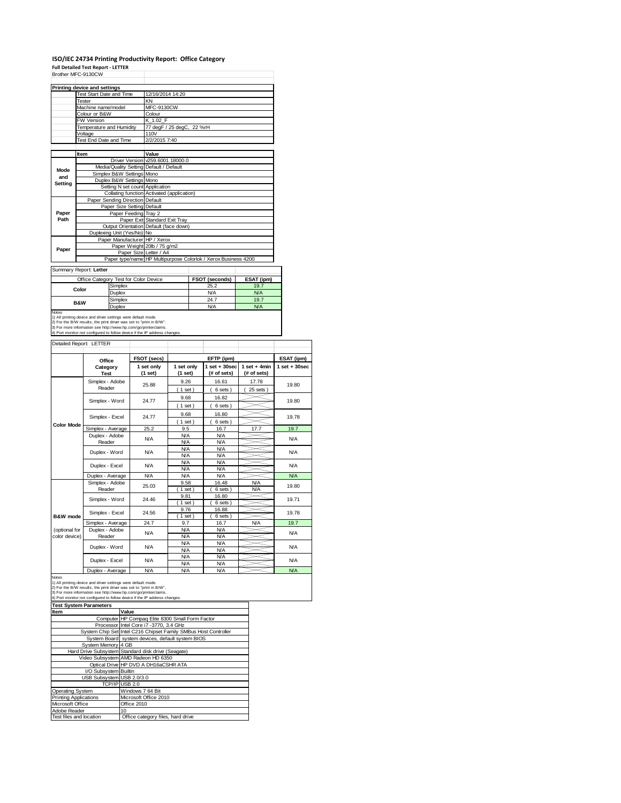## **ISO/IEC 24734 Printing Productivity Report: Office Category Full Detailed Test Report ‐ LETTER** Brother MFC-9130CW

|         | Printing device and settings    |                                            |                                                                |                |            |  |  |
|---------|---------------------------------|--------------------------------------------|----------------------------------------------------------------|----------------|------------|--|--|
|         | <b>Test Start Date and Time</b> |                                            | 12/16/2014 14:20                                               |                |            |  |  |
|         | Tester                          |                                            | KN                                                             |                |            |  |  |
|         | Machine name/model              |                                            | MFC-9130CW                                                     |                |            |  |  |
|         | Colour or B&W                   |                                            | Colour                                                         |                |            |  |  |
|         | FW Version                      |                                            | K 1.02 F                                                       |                |            |  |  |
|         | Temperature and Humidity        |                                            | 77 degF / 25 degC, 22 %rH                                      |                |            |  |  |
|         | Voltage                         |                                            | 110V                                                           |                |            |  |  |
|         | Test End Date and Time          |                                            | 2/2/2015 7:40                                                  |                |            |  |  |
|         |                                 |                                            |                                                                |                |            |  |  |
|         | Item                            |                                            | Value                                                          |                |            |  |  |
|         |                                 |                                            | Driver Version v259.6001.18000.0                               |                |            |  |  |
| Mode    |                                 |                                            | Media/Quality Setting Default / Default                        |                |            |  |  |
| and     |                                 | Simplex B&W Settings Mono                  |                                                                |                |            |  |  |
| Setting |                                 | Duplex B&W Settings Mono                   |                                                                |                |            |  |  |
|         |                                 | Setting N set count Application            |                                                                |                |            |  |  |
|         |                                 | Collating function Activated (application) |                                                                |                |            |  |  |
|         |                                 | Paper Sending Direction Default            |                                                                |                |            |  |  |
|         |                                 | Paper Size Setting Default                 |                                                                |                |            |  |  |
| Paper   | Paper Feeding Tray 2            |                                            |                                                                |                |            |  |  |
| Path    |                                 |                                            | Paper Exit Standard Exit Tray                                  |                |            |  |  |
|         |                                 |                                            | Output Orientation Default (face down)                         |                |            |  |  |
|         |                                 | Duplexing Unit (Yes/No) No                 |                                                                |                |            |  |  |
|         |                                 | Paper Manufacturer HP / Xerox              |                                                                |                |            |  |  |
| Paper   |                                 |                                            | Paper Weight 20lb / 75 g/m2                                    |                |            |  |  |
|         |                                 |                                            | Paper Size Letter / A4                                         |                |            |  |  |
|         |                                 |                                            | Paper type/name HP Multipurpose Colorlok / Xerox Business 4200 |                |            |  |  |
|         | Summary Report: Letter          |                                            |                                                                |                |            |  |  |
|         |                                 |                                            |                                                                |                |            |  |  |
|         |                                 | Office Category Test for Color Device      |                                                                | FSOT (seconds) | ESAT (ipm) |  |  |
|         | Color                           | Simplex                                    |                                                                | 25.2           | 19.7       |  |  |
|         |                                 | Duplex                                     |                                                                | N/A            | <b>N/A</b> |  |  |
|         | <b>B&amp;W</b>                  | Simplex                                    |                                                                | 24.7           | 19.7       |  |  |
| Duplex  |                                 |                                            |                                                                | N/A            | N/A        |  |  |

Notes<br>Notes<br>2) For the BAV results, the prior diverse refersing were default mode.<br>2) For the BAV results, the print diver was set to "print in BAV".<br>3) For moe information see thtp://www.hp.com/go/printerclaims.<br>4) Port m

### Detailed Report: LETTER

|                                | Office                    | FSOT (secs)           |                          | ESAT (ipm)                       |                               |                   |
|--------------------------------|---------------------------|-----------------------|--------------------------|----------------------------------|-------------------------------|-------------------|
|                                | Category<br><b>Test</b>   | 1 set only<br>(1 set) | 1 set only<br>(1 set)    | $1$ set $+30$ sec<br>(# of sets) | $1$ set + 4min<br>(# of sets) | $1$ set $+30$ sec |
|                                | Simplex - Adobe<br>Reader | 25.88                 | 9.26<br>(1 set)          | 16.61<br>6 sets)                 | 17.78<br>$25$ sets $)$        | 19.80             |
|                                | Simplex - Word            | 24.77                 | 9.68<br>$1$ set)         | 16.82<br>6 sets)                 |                               | 19.80             |
|                                | Simplex - Excel           | 24.77                 | 9.68                     | 16.80                            |                               | 19.78             |
| <b>Color Mode</b>              | Simplex - Average         | 25.2                  | $1$ set)<br>9.5          | 6 sets)<br>16.7                  | 17.7                          | 19.7              |
|                                | Duplex - Adobe<br>Reader  | <b>N/A</b>            | <b>N/A</b><br><b>N/A</b> | <b>N/A</b><br><b>N/A</b>         |                               | N/A               |
|                                | Duplex - Word             | <b>N/A</b>            | <b>N/A</b><br><b>N/A</b> | <b>N/A</b><br><b>N/A</b>         |                               | N/A               |
|                                | Duplex - Excel            | <b>N/A</b>            | <b>N/A</b><br><b>N/A</b> | N/A<br>N/A                       |                               | <b>N/A</b>        |
|                                | Duplex - Average          | <b>N/A</b>            | N/A                      | <b>N/A</b>                       |                               | N/A               |
|                                | Simplex - Adobe<br>Reader | 25.03                 | 9.58<br>$1$ set)         | 16.48<br>6 sets)                 | <b>N/A</b><br>N/A             | 19.80             |
|                                | Simplex - Word            | 24.46                 | 9.81<br>$1$ set)         | 16.80<br>6 sets)                 |                               | 19.71             |
| B&W mode                       | Simplex - Excel           | 24.56                 | 9.76<br>$1$ set)         | 16.88<br>6 sets)                 |                               | 19.78             |
|                                | Simplex - Average         | 24.7                  | 9.7                      | 16.7                             | <b>N/A</b>                    | 19.7              |
| (optional for<br>color device) | Duplex - Adobe<br>Reader  | <b>N/A</b>            | <b>N/A</b><br><b>N/A</b> | <b>N/A</b><br>N/A                |                               | N/A               |
|                                | Duplex - Word             | <b>N/A</b>            | N/A<br><b>N/A</b>        | <b>N/A</b><br><b>N/A</b>         |                               | <b>N/A</b>        |
|                                | Duplex - Excel            | <b>N/A</b>            | <b>N/A</b><br><b>N/A</b> | N/A<br><b>N/A</b>                |                               | N/A               |
|                                |                           |                       |                          |                                  |                               |                   |

|                               | Duplex - Average          | N/A                                                                                                                                                                                                                                                                                   | N/A | <b>N/A</b> |  | <b>N/A</b> |  |
|-------------------------------|---------------------------|---------------------------------------------------------------------------------------------------------------------------------------------------------------------------------------------------------------------------------------------------------------------------------------|-----|------------|--|------------|--|
| <b>Notes</b>                  |                           | 1) All printing device and driver settings were default mode.<br>2) For the B/W results, the print driver was set to "print in B/W".<br>3) For more information see http://www.hp.com/go/printerclaims.<br>4) Port monitor not configured to follow device if the IP address changes. |     |            |  |            |  |
| <b>Test System Parameters</b> |                           |                                                                                                                                                                                                                                                                                       |     |            |  |            |  |
| Item                          |                           | Value                                                                                                                                                                                                                                                                                 |     |            |  |            |  |
|                               |                           | Computer HP Compaq Elite 8300 Small Form Factor                                                                                                                                                                                                                                       |     |            |  |            |  |
|                               |                           | Processor I Intel Core i 7-3770, 3.4 GHz                                                                                                                                                                                                                                              |     |            |  |            |  |
|                               |                           | System Chip Set Intel C216 Chipset Family SMBus Host Controller                                                                                                                                                                                                                       |     |            |  |            |  |
|                               |                           | System Board system devices, default system BIOS                                                                                                                                                                                                                                      |     |            |  |            |  |
|                               | System Memory 4 GB        |                                                                                                                                                                                                                                                                                       |     |            |  |            |  |
|                               |                           | Hard Drive Subsystem Standard disk drive (Seagate)                                                                                                                                                                                                                                    |     |            |  |            |  |
|                               |                           | Video Subsystem AMD Radeon HD 6350                                                                                                                                                                                                                                                    |     |            |  |            |  |
|                               |                           | Optical Drive HP DVD A DH16aCSHR ATA                                                                                                                                                                                                                                                  |     |            |  |            |  |
|                               | I/O Subsystem Builtin     |                                                                                                                                                                                                                                                                                       |     |            |  |            |  |
|                               | USB Subsystem USB 2.0/3.0 |                                                                                                                                                                                                                                                                                       |     |            |  |            |  |
|                               |                           | TCP/IP USB 2.0                                                                                                                                                                                                                                                                        |     |            |  |            |  |
| <b>Operating System</b>       |                           | Windows 7 64 Bit                                                                                                                                                                                                                                                                      |     |            |  |            |  |
| <b>Printing Applications</b>  |                           | Microsoft Office 2010                                                                                                                                                                                                                                                                 |     |            |  |            |  |
| Microsoft Office              |                           | Office 2010                                                                                                                                                                                                                                                                           |     |            |  |            |  |
| Adobe Reader                  |                           | 10                                                                                                                                                                                                                                                                                    |     |            |  |            |  |
| Test files and location       |                           | Office category files, hard drive                                                                                                                                                                                                                                                     |     |            |  |            |  |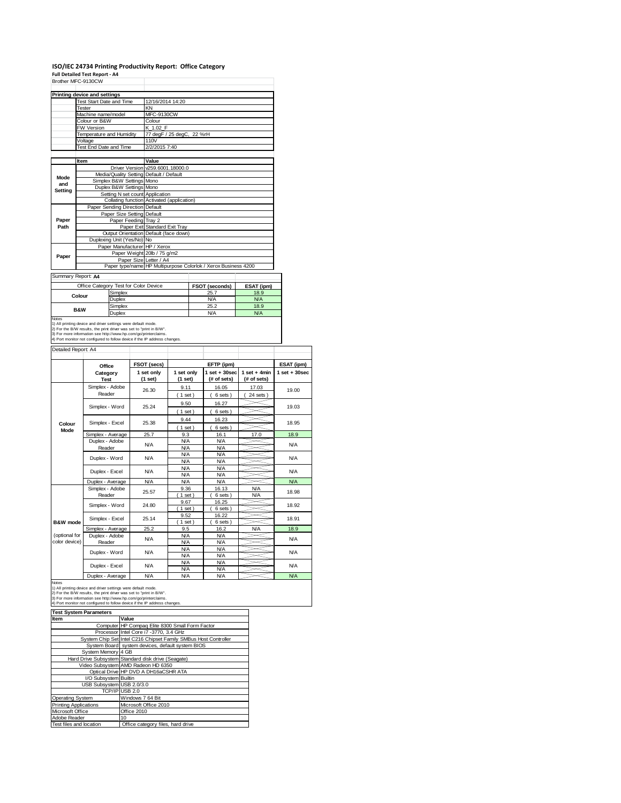# **ISO/IEC 24734 Printing Productivity Report: Office Category Full Detailed Test Report ‐ A4**

|         | Brother MFC-9130CW                      |                                                                                          |                  |              |  |
|---------|-----------------------------------------|------------------------------------------------------------------------------------------|------------------|--------------|--|
|         | Printing device and settings            |                                                                                          |                  |              |  |
|         | <b>Test Start Date and Time</b>         | 12/16/2014 14:20                                                                         |                  |              |  |
|         | Tester                                  | KN                                                                                       |                  |              |  |
|         | Machine name/model                      | <b>MFC-9130CW</b>                                                                        |                  |              |  |
|         | Colour or B&W                           | Colour                                                                                   |                  |              |  |
|         | FW Version                              | K 1.02 F                                                                                 |                  |              |  |
|         | Temperature and Humidity                | 77 degF / 25 degC, 22 %rH                                                                |                  |              |  |
|         | Voltage                                 | 110V                                                                                     |                  |              |  |
|         | Test End Date and Time                  | 2/2/2015 7:40                                                                            |                  |              |  |
|         |                                         |                                                                                          |                  |              |  |
|         | Item                                    | Value                                                                                    |                  |              |  |
|         |                                         | Driver Version v259,6001,18000.0                                                         |                  |              |  |
| Mode    | Media/Quality Setting Default / Default |                                                                                          |                  |              |  |
| and     | Simplex B&W Settings Mono               |                                                                                          |                  |              |  |
| Setting | Duplex B&W Settings Mono                |                                                                                          |                  |              |  |
|         | Setting N set count Application         |                                                                                          |                  |              |  |
|         |                                         | Collating function Activated (application)                                               |                  |              |  |
|         | Paper Sending Direction Default         |                                                                                          |                  |              |  |
|         | Paper Size Setting Default              |                                                                                          |                  |              |  |
| Paper   | Paper Feeding Tray 2                    |                                                                                          |                  |              |  |
| Path    |                                         | Paper Exit Standard Exit Tray                                                            |                  |              |  |
|         |                                         | Output Orientation Default (face down)                                                   |                  |              |  |
|         | Duplexing Unit (Yes/No) No              |                                                                                          |                  |              |  |
|         | Paper Manufacturer HP / Xerox           |                                                                                          |                  |              |  |
| Paper   |                                         | Paper Weight 20lb / 75 g/m2                                                              |                  |              |  |
|         |                                         | Paper Size Letter / A4<br>Paper type/name HP Multipurpose Colorlok / Xerox Business 4200 |                  |              |  |
|         |                                         |                                                                                          |                  |              |  |
|         | Summary Report: A4                      |                                                                                          |                  |              |  |
|         | Office Category Test for Color Device   |                                                                                          | $ECOT$ (conorde) | $ECAT$ (inm) |  |

| Summary Report: A4                                                           |                                       |                |            |
|------------------------------------------------------------------------------|---------------------------------------|----------------|------------|
|                                                                              | Office Category Test for Color Device | FSOT (seconds) | ESAT (ipm) |
|                                                                              | Simplex                               | 25.7           | 18.9       |
| Colour                                                                       | Duplex                                | <b>N/A</b>     | <b>N/A</b> |
| <b>B&amp;W</b>                                                               | Simplex                               | 25.2           | 18.9       |
| Duplex                                                                       |                                       | N/A            | <b>N/A</b> |
| <b>Notes</b><br>1) All printing daying and driver cottings were default mode |                                       |                |            |

1) All printing device and driver settings were default mode.<br>2) For the B/W results, the print driver was set to "print in B/W".<br>3) For more information see http://www.hp.com/go/printerclaims.<br>4) Port monitor not configur

### Detailed Report: A4

|                                | Office                    | FSOT (secs)           |                          | ESAT (ipm)                       |                               |                   |
|--------------------------------|---------------------------|-----------------------|--------------------------|----------------------------------|-------------------------------|-------------------|
|                                | Category<br><b>Test</b>   | 1 set only<br>(1 set) | 1 set only<br>(1 set)    | $1$ set $+30$ sec<br>(# of sets) | $1$ set + 4min<br>(# of sets) | $1$ set $+30$ sec |
|                                | Simplex - Adobe<br>Reader | 26.30                 | 9.11<br>(1 set)          | 16.05<br>6 sets)                 | 17.03<br>$24$ sets $)$        | 19.00             |
|                                | Simplex - Word            | 25.24                 | 9.50<br>(1 set)          | 16.27<br>6 sets)                 |                               | 19.03             |
| Colour<br>Mode                 | Simplex - Excel           | 25.38                 | 9.44<br>(1 set)          | 16.23<br>6 sets)                 |                               | 18.95             |
|                                | Simplex - Average         | 25.7                  | 9.3                      | 16.1                             | 17.0                          | 18.9              |
|                                | Duplex - Adobe<br>Reader  | <b>N/A</b>            | <b>N/A</b><br>N/A        | <b>N/A</b><br><b>N/A</b>         |                               | <b>N/A</b>        |
|                                | Duplex - Word             | <b>N/A</b>            | <b>N/A</b><br>N/A        | <b>N/A</b><br>N/A                |                               | N/A               |
|                                | Duplex - Excel            | <b>N/A</b>            | <b>N/A</b><br><b>N/A</b> | <b>N/A</b><br><b>N/A</b>         |                               | N/A               |
|                                | Duplex - Average          | <b>N/A</b>            | N/A                      | <b>N/A</b>                       |                               | N/A               |
|                                | Simplex - Adobe<br>Reader | 25.57                 | 9.36<br>$1$ set)         | 16.13<br>6 sets)                 | <b>N/A</b><br>N/A             | 18.98             |
|                                | Simplex - Word            | 24.80                 | 9.67<br>$1$ set)         | 16.25<br>6 sets)                 |                               | 18.92             |
| B&W mode                       | Simplex - Excel           | 25.14                 | 9.52<br>$1$ set)         | 16.22<br>6 sets)                 |                               | 18.91             |
|                                | Simplex - Average         | 25.2                  | 9.5                      | 16.2                             | <b>N/A</b>                    | 18.9              |
| (optional for<br>color device) | Duplex - Adobe<br>Reader  | <b>N/A</b>            | N/A<br>N/A               | N/A<br>N/A                       |                               | <b>N/A</b>        |
|                                | Duplex - Word             | <b>N/A</b>            | N/A<br><b>N/A</b>        | <b>N/A</b><br><b>N/A</b>         |                               | N/A               |
|                                | Duplex - Excel            | <b>N/A</b>            | <b>N/A</b><br><b>N/A</b> | <b>N/A</b><br><b>N/A</b>         |                               | N/A               |
|                                |                           |                       |                          |                                  |                               |                   |

٦

Notes<br>
Notes<br>
1) All princing device and driver settings were default mode.<br>
2) For the B/W results, the print driver was set to "print in B/W".<br>
3) For the B/W results, the print driver was set to "print in B/W".<br>
4) Por

**Test System Parameters**

| <b>Test System Parameters</b> |                                                                 |  |  |  |
|-------------------------------|-----------------------------------------------------------------|--|--|--|
| <b>Item</b>                   | Value                                                           |  |  |  |
|                               | Computer HP Compag Elite 8300 Small Form Factor                 |  |  |  |
|                               | Processor Intel Core i7 -3770, 3.4 GHz                          |  |  |  |
|                               | System Chip Set Intel C216 Chipset Family SMBus Host Controller |  |  |  |
|                               | System Board system devices, default system BIOS                |  |  |  |
| System Memory 4 GB            |                                                                 |  |  |  |
|                               | Hard Drive Subsystem Standard disk drive (Seagate)              |  |  |  |
|                               | Video Subsystem AMD Radeon HD 6350                              |  |  |  |
|                               | Optical Drive HP DVD A DH16aCSHR ATA                            |  |  |  |
| I/O Subsystem Builtin         |                                                                 |  |  |  |
| USB Subsystem USB 2.0/3.0     |                                                                 |  |  |  |
|                               | TCP/IP USB 2.0                                                  |  |  |  |
| <b>Operating System</b>       | Windows 7 64 Bit                                                |  |  |  |
| Printing Applications         | Microsoft Office 2010                                           |  |  |  |
| Microsoft Office              | Office 2010                                                     |  |  |  |
| Adobe Reader                  | 10                                                              |  |  |  |
| Test files and location       | Office category files, hard drive                               |  |  |  |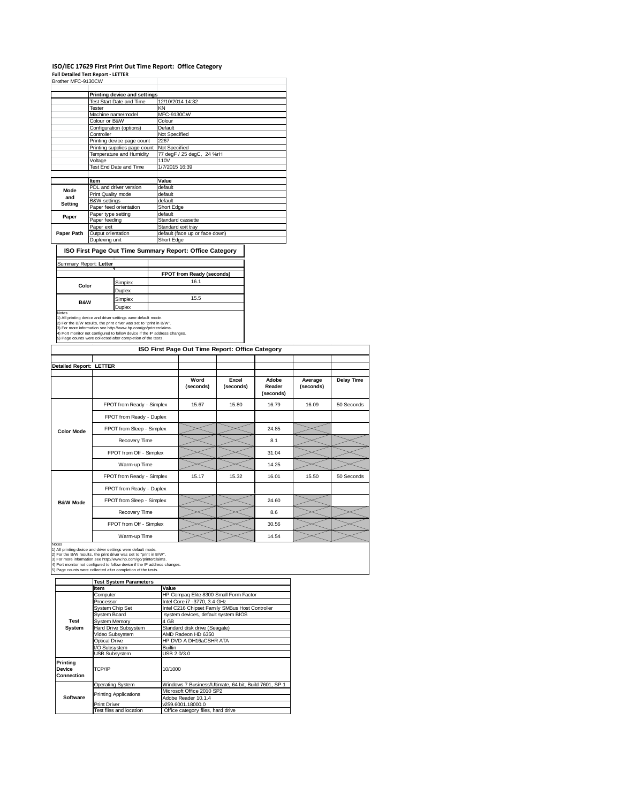## **ISO/IEC 17629 First Print Out Time Report: Office Category**

**Full Detailed Test Report ‐ LETTER**

| Brother MFC-9130CW |                                 |                                |  |
|--------------------|---------------------------------|--------------------------------|--|
|                    | Printing device and settings    |                                |  |
|                    | <b>Test Start Date and Time</b> | 12/10/2014 14:32               |  |
|                    | Tester                          | KN                             |  |
|                    | Machine name/model              | <b>MFC-9130CW</b>              |  |
|                    | Colour or B&W                   | Colour                         |  |
|                    | Configuration (options)         | Default                        |  |
|                    | Controller                      | Not Specified                  |  |
|                    | Printing device page count      | 2267                           |  |
|                    | Printing supplies page count    | Not Specified                  |  |
|                    | Temperature and Humidity        | 77 degF / 25 degC, 24 %rH      |  |
|                    | Voltage                         | 110V                           |  |
|                    | Test End Date and Time          | 1/7/2015 16:39                 |  |
|                    |                                 |                                |  |
|                    | Item                            | Value                          |  |
| Mode               | PDL and driver version          | default                        |  |
| and                | Print Quality mode              | default                        |  |
| Setting            | B&W settings                    | default                        |  |
|                    | Paper feed orientation          | Short Edge                     |  |
| Paper              | Paper type setting              | default                        |  |
|                    | Paper feeding                   | Standard cassette              |  |
|                    | Paper exit                      | Standard exit tray             |  |
| Paper Path         | Output orientation              | default (face up or face down) |  |
|                    | Duplexing unit                  | Short Edge                     |  |

**ISO First Page Out Time Summary Report: Office Category**

### Summary Report: **Letter** T

|                |         | FPOT from Ready (seconds) |
|----------------|---------|---------------------------|
| Color          | Simplex | 16.1                      |
|                | Duplex  |                           |
| <b>B&amp;W</b> | Simplex | 15.5                      |
|                | Duplex  |                           |

Notes<br>
Notes<br>
1) All printing divide and driver settings were default mode.<br>
2) For the B/W results, the print driver was set to "print in B/W".<br>
3) For more information see http://www.hp.com/go/printenciams.<br>
4) Port mon

|                         | ISO First Page Out Time Report: Office Category |                   |                    |                              |                      |                   |  |
|-------------------------|-------------------------------------------------|-------------------|--------------------|------------------------------|----------------------|-------------------|--|
| Detailed Report: LETTER |                                                 |                   |                    |                              |                      |                   |  |
|                         |                                                 |                   |                    |                              |                      |                   |  |
|                         |                                                 | Word<br>(seconds) | Excel<br>(seconds) | Adobe<br>Reader<br>(seconds) | Average<br>(seconds) | <b>Delay Time</b> |  |
|                         | FPOT from Ready - Simplex                       | 15.67             | 15.80              | 16.79                        | 16.09                | 50 Seconds        |  |
|                         | FPOT from Ready - Duplex                        |                   |                    |                              |                      |                   |  |
| <b>Color Mode</b>       | FPOT from Sleep - Simplex                       |                   |                    | 24.85                        |                      |                   |  |
|                         | Recovery Time                                   |                   |                    | 8.1                          |                      |                   |  |
|                         | FPOT from Off - Simplex                         |                   |                    | 31.04                        |                      |                   |  |
|                         | Warm-up Time                                    |                   |                    | 14.25                        |                      |                   |  |
|                         | FPOT from Ready - Simplex                       | 15.17             | 15.32              | 16.01                        | 15.50                | 50 Seconds        |  |
|                         | FPOT from Ready - Duplex                        |                   |                    |                              |                      |                   |  |
| <b>B&amp;W Mode</b>     | FPOT from Sleep - Simplex                       |                   |                    | 24.60                        |                      |                   |  |
|                         | Recovery Time                                   |                   |                    | 8.6                          |                      |                   |  |
|                         | FPOT from Off - Simplex                         |                   |                    | 30.56                        |                      |                   |  |
|                         | Warm-up Time                                    |                   |                    | 14.54                        |                      |                   |  |

Notes<br>1) All printing device and driver settings were default mode.<br>2) For the B/W results, the print driver was set to "print in B/W".<br>3) For more information see http://www.hp.com/go/printerclaims.<br>4) Port monitor not co

|                                  | <b>Test System Parameters</b> |                                                       |  |  |  |
|----------------------------------|-------------------------------|-------------------------------------------------------|--|--|--|
|                                  | Item                          | Value                                                 |  |  |  |
|                                  | Computer                      | HP Compag Elite 8300 Small Form Factor                |  |  |  |
|                                  | Processor                     | Intel Core i7 -3770, 3.4 GHz                          |  |  |  |
|                                  | <b>System Chip Set</b>        | Intel C216 Chipset Family SMBus Host Controller       |  |  |  |
|                                  | System Board                  | system devices, default system BIOS                   |  |  |  |
| Test                             | <b>System Memory</b>          | 4 GB                                                  |  |  |  |
| System                           | Hard Drive Subsystem          | Standard disk drive (Seagate)                         |  |  |  |
|                                  | Video Subsystem               | AMD Radeon HD 6350                                    |  |  |  |
|                                  | Optical Drive                 | HP DVD A DH16aCSHR ATA                                |  |  |  |
|                                  | I/O Subsystem                 | <b>Builtin</b>                                        |  |  |  |
|                                  | <b>USB Subsystem</b>          | USB 2.0/3.0                                           |  |  |  |
| Printing<br>Device<br>Connection | TCP/IP                        | 10/1000                                               |  |  |  |
|                                  | <b>Operating System</b>       | Windows 7 Business/Ultimate, 64 bit, Build 7601, SP 1 |  |  |  |
|                                  | <b>Printing Applications</b>  | Microsoft Office 2010 SP2                             |  |  |  |
| Software                         |                               | Adobe Reader 10.1.4                                   |  |  |  |
|                                  | <b>Print Driver</b>           | v259.6001.18000.0                                     |  |  |  |
|                                  | Test files and location       | Office category files, hard drive                     |  |  |  |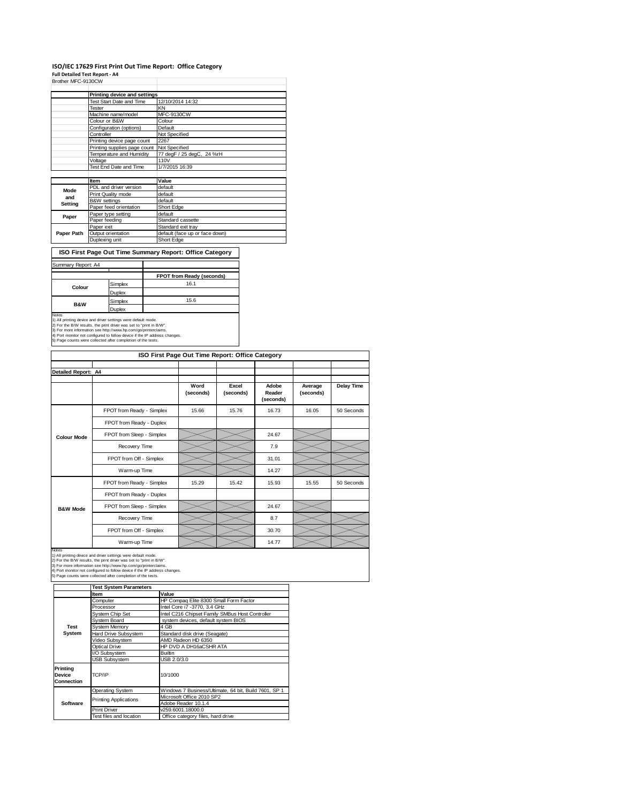### **ISO/IEC 17629 First Print Out Time Report: Office Category**

**Full Detailed Test Report ‐ A4**

| Brother MFC-9130CW |                              |                                |  |
|--------------------|------------------------------|--------------------------------|--|
|                    | Printing device and settings |                                |  |
|                    | Test Start Date and Time     | 12/10/2014 14:32               |  |
|                    | Tester                       | KN                             |  |
|                    | Machine name/model           | <b>MFC-9130CW</b>              |  |
|                    | Colour or B&W                | Colour                         |  |
|                    | Configuration (options)      | Default                        |  |
|                    | Controller                   | Not Specified                  |  |
|                    | Printing device page count   | 2267                           |  |
|                    | Printing supplies page count | Not Specified                  |  |
|                    | Temperature and Humidity     | 77 degF / 25 degC, 24 %rH      |  |
|                    | Voltage                      | 110V                           |  |
|                    | Test End Date and Time       | 1/7/2015 16:39                 |  |
|                    |                              |                                |  |
|                    | Item                         | Value                          |  |
| Mode               | PDL and driver version       | default                        |  |
| and                | Print Quality mode           | default                        |  |
| Setting            | B&W settings                 | default                        |  |
|                    | Paper feed orientation       | Short Edge                     |  |
| Paper              | Paper type setting           | default                        |  |
|                    | Paper feeding                | Standard cassette              |  |
|                    | Paper exit                   | Standard exit tray             |  |
| Paper Path         | Output orientation           | default (face up or face down) |  |
|                    | Duplexing unit               | Short Edge                     |  |

**ISO First Page Out Time Summary Report: Office Category**

## Summary Report: A4

|                |         | FPOT from Ready (seconds) |
|----------------|---------|---------------------------|
| Colour         | Simplex | 16.1                      |
|                | Duplex  |                           |
| <b>B&amp;W</b> | Simplex | 15.6                      |
|                | Junlex  |                           |

Notes<br>
Notes<br>
1) All printing device and driver settings were default mode.<br>
2) For the B/W results, the print driver was set to "print in B/W".<br>
3) For more information see http://www.hp.com/go/printerclaims.<br>
4) Port mo

| ISO First Page Out Time Report: Office Category |                           |                   |                    |                              |                      |                   |  |
|-------------------------------------------------|---------------------------|-------------------|--------------------|------------------------------|----------------------|-------------------|--|
|                                                 |                           |                   |                    |                              |                      |                   |  |
| <b>Detailed Report: A4</b>                      |                           |                   |                    |                              |                      |                   |  |
|                                                 |                           | Word<br>(seconds) | Excel<br>(seconds) | Adobe<br>Reader<br>(seconds) | Average<br>(seconds) | <b>Delay Time</b> |  |
|                                                 | FPOT from Ready - Simplex | 15.66             | 15.76              | 16.73                        | 16.05                | 50 Seconds        |  |
|                                                 | FPOT from Ready - Duplex  |                   |                    |                              |                      |                   |  |
| <b>Colour Mode</b>                              | FPOT from Sleep - Simplex |                   |                    | 24.67                        |                      |                   |  |
|                                                 | Recovery Time             |                   |                    | 7.9                          |                      |                   |  |
|                                                 | FPOT from Off - Simplex   |                   |                    | 31.01                        |                      |                   |  |
|                                                 | Warm-up Time              |                   |                    | 14.27                        |                      |                   |  |
|                                                 | FPOT from Ready - Simplex | 15.29             | 15.42              | 15.93                        | 15.55                | 50 Seconds        |  |
|                                                 | FPOT from Ready - Duplex  |                   |                    |                              |                      |                   |  |
| <b>B&amp;W Mode</b>                             | FPOT from Sleep - Simplex |                   |                    | 24.67                        |                      |                   |  |
|                                                 | Recovery Time             |                   |                    | 8.7                          |                      |                   |  |
|                                                 | FPOT from Off - Simplex   |                   |                    | 30.70                        |                      |                   |  |
| <b>Motoo</b>                                    | Warm-up Time              |                   |                    | 14.77                        |                      |                   |  |

Notes<br>1) All printing device and driver settings were default mode.<br>2) For the B/W results, the print driver was set to "print in B/W".<br>3) For more information see http://www.hp.com/go/printerclaims.<br>4) Port monitor not co

|                                         | <b>Test System Parameters</b> |                                                       |  |
|-----------------------------------------|-------------------------------|-------------------------------------------------------|--|
|                                         | Item                          | Value                                                 |  |
|                                         | Computer                      | HP Compag Elite 8300 Small Form Factor                |  |
|                                         | Processor                     | Intel Core i7 -3770, 3.4 GHz                          |  |
|                                         | System Chip Set               | Intel C216 Chipset Family SMBus Host Controller       |  |
|                                         | System Board                  | system devices, default system BIOS                   |  |
| <b>Test</b>                             | <b>System Memory</b>          | 4 GB                                                  |  |
| System                                  | Hard Drive Subsystem          | Standard disk drive (Seagate)                         |  |
|                                         | Video Subsystem               | AMD Radeon HD 6350                                    |  |
|                                         | Optical Drive                 | HP DVD A DH16aCSHR ATA                                |  |
|                                         | I/O Subsystem                 | <b>Builtin</b>                                        |  |
|                                         | <b>USB Subsystem</b>          | USB 2.0/3.0                                           |  |
| Printina<br><b>Device</b><br>Connection | TCP/IP                        | 10/1000                                               |  |
|                                         | Operating System              | Windows 7 Business/Ultimate, 64 bit, Build 7601, SP 1 |  |
|                                         | <b>Printing Applications</b>  | Microsoft Office 2010 SP2                             |  |
| Software                                |                               | Adobe Reader 10.1.4                                   |  |
|                                         | <b>Print Driver</b>           | v259.6001.18000.0                                     |  |
|                                         | Test files and location       | Office category files, hard drive                     |  |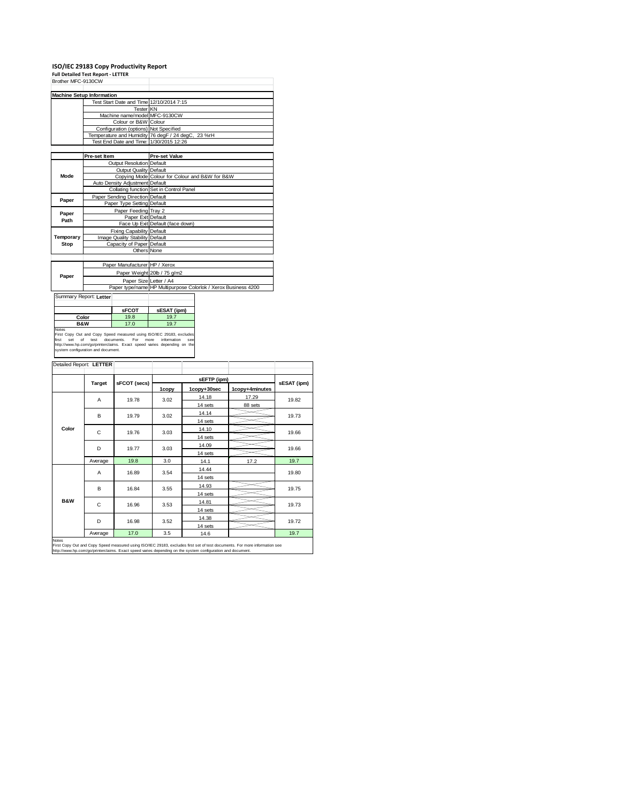|                    | ISO/IEC 29183 Copy Productivity Report<br><b>Full Detailed Test Report - LETTER</b> |                                                                |
|--------------------|-------------------------------------------------------------------------------------|----------------------------------------------------------------|
| Brother MFC-9130CW |                                                                                     |                                                                |
|                    |                                                                                     |                                                                |
|                    | <b>Machine Setup Information</b>                                                    |                                                                |
|                    | Test Start Date and Time 12/10/2014 7:15                                            |                                                                |
|                    | Tester <sup>I</sup> KN                                                              |                                                                |
|                    | Machine name/model MFC-9130CW                                                       |                                                                |
|                    | Colour or B&W Colour                                                                |                                                                |
|                    | Configuration (options) Not Specified                                               |                                                                |
|                    |                                                                                     | Temperature and Humidity 76 degF / 24 degC, 23 %rH             |
|                    | Test End Date and Time: 1/30/2015 12:26                                             |                                                                |
|                    |                                                                                     |                                                                |
|                    | Pre-set Item                                                                        | <b>Pre-set Value</b>                                           |
|                    | Output Resolution Default                                                           |                                                                |
|                    | <b>Output Quality Default</b>                                                       |                                                                |
| Mode               |                                                                                     | Copying Mode Colour for Colour and B&W for B&W                 |
|                    | Auto Density Adjustment Default                                                     |                                                                |
|                    |                                                                                     | Collating function Set in Control Panel                        |
| Paper              | Paper Sending Direction Default                                                     |                                                                |
|                    | Paper Type Setting Default                                                          |                                                                |
| Paper              | Paper Feeding Tray 2                                                                |                                                                |
| Path               | Paper Exit Default                                                                  |                                                                |
|                    |                                                                                     | Face Up Exit Default (face down)                               |
|                    | <b>Fixing Capability Default</b>                                                    |                                                                |
| Temporary          | Image Quality Stability Default                                                     |                                                                |
| Stop               | Capacity of Paper Default                                                           |                                                                |
|                    | Others None                                                                         |                                                                |
|                    |                                                                                     |                                                                |
|                    | Paper Manufacturer HP / Xerox                                                       |                                                                |
| Paper              |                                                                                     | Paper Weight 20lb / 75 g/m2                                    |
|                    | Paper Size Letter / A4                                                              |                                                                |
|                    |                                                                                     | Paper type/name HP Multipurpose Colorlok / Xerox Business 4200 |

| Summary Report: Letter                                                               |              |             |
|--------------------------------------------------------------------------------------|--------------|-------------|
|                                                                                      | <b>SFCOT</b> | sESAT (ipm) |
| Color                                                                                | 19.8         | 19.7        |
| <b>B&amp;W</b>                                                                       | 17.0         | 19.7        |
| <b>Notes</b><br>First Copy Out and Copy Speed measured using ISO/IEC 29183, excludes |              |             |

First Copy Out and Copy Speed measured using ISO/IEC 29183, excludes<br>first set of test documents. For more information see<br>http://www.hp.com/go/printerclaims. Exact speed varies depending on the<br>system.configuration.and.do

| Detailed Report: LETTER |                        |       |             |             |                |             |
|-------------------------|------------------------|-------|-------------|-------------|----------------|-------------|
|                         |                        |       |             |             |                |             |
|                         | sFCOT (secs)<br>Target |       | sEFTP (ipm) |             |                | sESAT (ipm) |
|                         |                        |       | 1copy       | 1copy+30sec | 1copy+4minutes |             |
|                         | A                      | 19.78 | 3.02        | 14.18       | 17.29          | 19.82       |
|                         |                        |       |             | 14 sets     | 88 sets        |             |
|                         | B                      | 19.79 | 3.02        | 14.14       |                | 19.73       |
|                         |                        |       |             | 14 sets     |                |             |
| Color                   | C                      | 19.76 | 3.03        | 14.10       |                | 19.66       |
|                         |                        |       |             | 14 sets     |                |             |
|                         | D                      | 19.77 | 3.03        | 14.09       |                | 19.66       |
|                         |                        |       |             | 14 sets     |                |             |
|                         | Average                | 19.8  | 3.0         | 14.1        | 17.2           | 19.7        |
|                         | A                      | 16.89 | 3.54        | 14.44       |                | 19.80       |
|                         |                        |       |             | 14 sets     |                |             |
|                         | B                      | 16.84 | 3.55        | 14.93       |                | 19.75       |
|                         |                        |       |             | 14 sets     |                |             |
| <b>B&amp;W</b>          | C<br>16.96             |       | 3.53        | 14.81       |                | 19.73       |
|                         |                        |       |             | 14 sets     |                |             |
|                         | D                      | 16.98 | 3.52        | 14.38       |                | 19.72       |
|                         |                        |       |             | 14 sets     |                |             |
|                         | Average                | 17.0  | 3.5         | 14.6        |                | 19.7        |
| Notes                   |                        |       |             |             |                |             |

Notes<br>First Copy Out and Copy Speed measured using ISO/IEC 29183, excludes first set of test documents. For more information see<br>http://www.hp.com/go/printerclaims. Exact speed varies depending on the system configuration